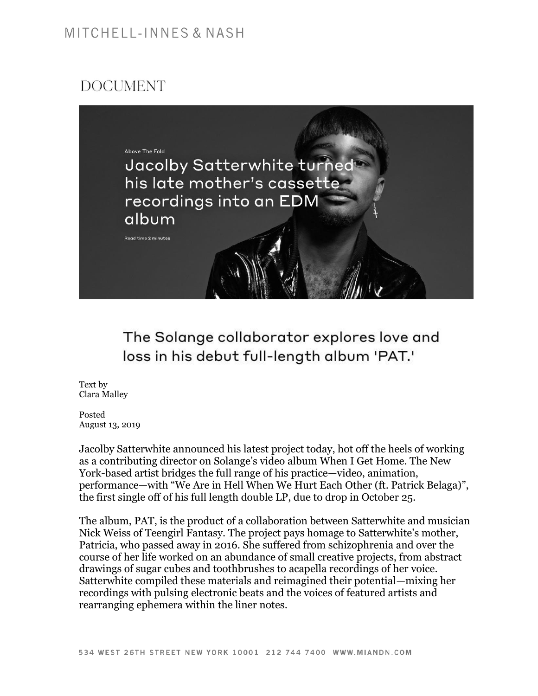## MITCHELL-INNES & NASH

## **DOCUMENT**



The Solange collaborator explores love and loss in his debut full-length album 'PAT.'

Text by Clara Malley

Posted August 13, 2019

Jacolby Satterwhite announced his latest project today, hot off the heels of working as a contributing director on Solange's video album When I Get Home. The New York-based artist bridges the full range of his practice—video, animation, performance—with "We Are in Hell When We Hurt Each Other (ft. Patrick Belaga)", the first single off of his full length double LP, due to drop in October 25.

The album, PAT, is the product of a collaboration between Satterwhite and musician Nick Weiss of Teengirl Fantasy. The project pays homage to Satterwhite's mother, Patricia, who passed away in 2016. She suffered from schizophrenia and over the course of her life worked on an abundance of small creative projects, from abstract drawings of sugar cubes and toothbrushes to acapella recordings of her voice. Satterwhite compiled these materials and reimagined their potential—mixing her recordings with pulsing electronic beats and the voices of featured artists and rearranging ephemera within the liner notes.